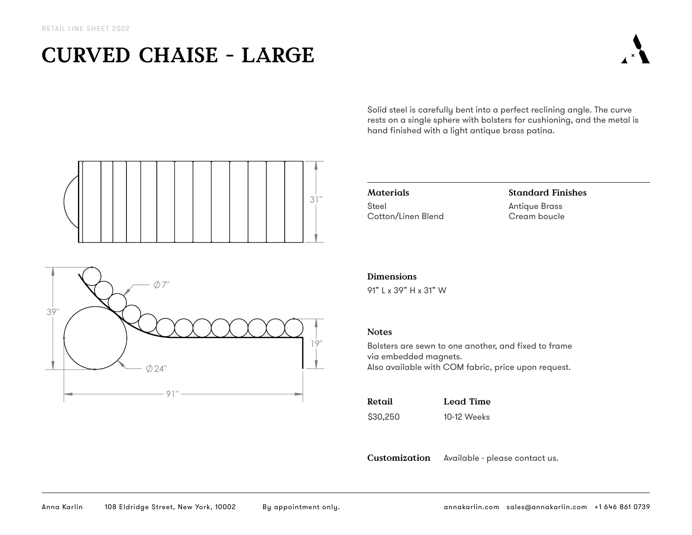# **CURVED CHAISE - LARGE**

Solid steel is carefully bent into a perfect reclining angle. The curve rests on a single sphere with bolsters for cushioning, and the metal is hand finished with a light antique brass patina.





**Materials** Steel Cotton/Linen Blend

## **Standard Finishes** Antique Brass Cream boucle

### **Dimensions**

91" L x 39" H x 31" W

#### **Notes**

Bolsters are sewn to one another, and fixed to frame via embedded magnets. Also available with COM fabric, price upon request.

| Retail   | Lead Time   |
|----------|-------------|
| \$30,250 | 10-12 Weeks |

**Customization** Available - please contact us.